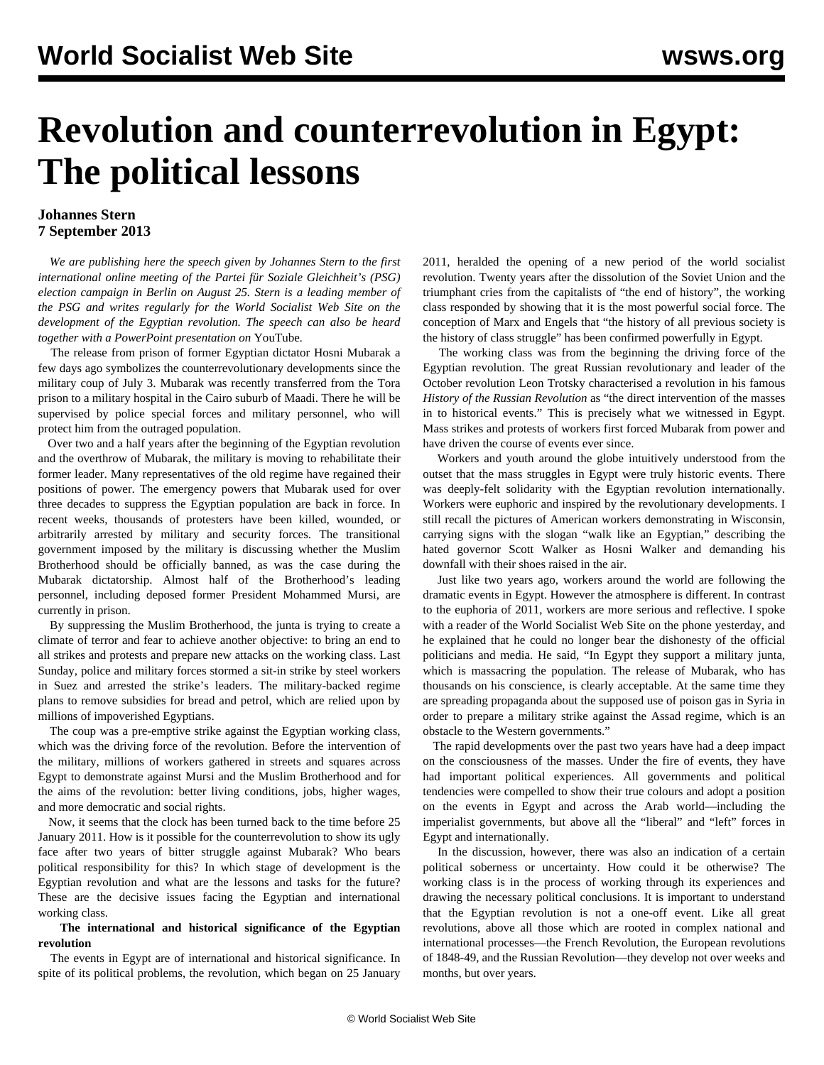# **Revolution and counterrevolution in Egypt: The political lessons**

## **Johannes Stern 7 September 2013**

 *We are publishing here the speech given by Johannes Stern to the first international online meeting of the Partei für Soziale Gleichheit's (PSG) election campaign in Berlin on August 25. Stern is a leading member of the PSG and writes regularly for the World Socialist Web Site on the development of the Egyptian revolution. The speech can also be heard together with a PowerPoint presentation on* [YouTube](http://www.youtube.com/watch?v=Rmpbd_XtQu0&feature=youtu.be)*.*

 The release from prison of former Egyptian dictator Hosni Mubarak a few days ago symbolizes the counterrevolutionary developments since the military coup of July 3. Mubarak was recently transferred from the Tora prison to a military hospital in the Cairo suburb of Maadi. There he will be supervised by police special forces and military personnel, who will protect him from the outraged population.

 Over two and a half years after the beginning of the Egyptian revolution and the overthrow of Mubarak, the military is moving to rehabilitate their former leader. Many representatives of the old regime have regained their positions of power. The emergency powers that Mubarak used for over three decades to suppress the Egyptian population are back in force. In recent weeks, thousands of protesters have been killed, wounded, or arbitrarily arrested by military and security forces. The transitional government imposed by the military is discussing whether the Muslim Brotherhood should be officially banned, as was the case during the Mubarak dictatorship. Almost half of the Brotherhood's leading personnel, including deposed former President Mohammed Mursi, are currently in prison.

 By suppressing the Muslim Brotherhood, the junta is trying to create a climate of terror and fear to achieve another objective: to bring an end to all strikes and protests and prepare new attacks on the working class. Last Sunday, police and military forces stormed a sit-in strike by steel workers in Suez and arrested the strike's leaders. The military-backed regime plans to remove subsidies for bread and petrol, which are relied upon by millions of impoverished Egyptians.

 The coup was a pre-emptive strike against the Egyptian working class, which was the driving force of the revolution. Before the intervention of the military, millions of workers gathered in streets and squares across Egypt to demonstrate against Mursi and the Muslim Brotherhood and for the aims of the revolution: better living conditions, jobs, higher wages, and more democratic and social rights.

 Now, it seems that the clock has been turned back to the time before 25 January 2011. How is it possible for the counterrevolution to show its ugly face after two years of bitter struggle against Mubarak? Who bears political responsibility for this? In which stage of development is the Egyptian revolution and what are the lessons and tasks for the future? These are the decisive issues facing the Egyptian and international working class.

#### **The international and historical significance of the Egyptian revolution**

 The events in Egypt are of international and historical significance. In spite of its political problems, the revolution, which began on 25 January

2011, heralded the opening of a new period of the world socialist revolution. Twenty years after the dissolution of the Soviet Union and the triumphant cries from the capitalists of "the end of history", the working class responded by showing that it is the most powerful social force. The conception of Marx and Engels that "the history of all previous society is the history of class struggle" has been confirmed powerfully in Egypt.

 The working class was from the beginning the driving force of the Egyptian revolution. The great Russian revolutionary and leader of the October revolution Leon Trotsky characterised a revolution in his famous *History of the Russian Revolution* as "the direct intervention of the masses in to historical events." This is precisely what we witnessed in Egypt. Mass strikes and protests of workers first forced Mubarak from power and have driven the course of events ever since.

 Workers and youth around the globe intuitively understood from the outset that the mass struggles in Egypt were truly historic events. There was deeply-felt solidarity with the Egyptian revolution internationally. Workers were euphoric and inspired by the revolutionary developments. I still recall the pictures of American workers demonstrating in Wisconsin, carrying signs with the slogan "walk like an Egyptian," describing the hated governor Scott Walker as Hosni Walker and demanding his downfall with their shoes raised in the air.

 Just like two years ago, workers around the world are following the dramatic events in Egypt. However the atmosphere is different. In contrast to the euphoria of 2011, workers are more serious and reflective. I spoke with a reader of the World Socialist Web Site on the phone yesterday, and he explained that he could no longer bear the dishonesty of the official politicians and media. He said, "In Egypt they support a military junta, which is massacring the population. The release of Mubarak, who has thousands on his conscience, is clearly acceptable. At the same time they are spreading propaganda about the supposed use of poison gas in Syria in order to prepare a military strike against the Assad regime, which is an obstacle to the Western governments."

 The rapid developments over the past two years have had a deep impact on the consciousness of the masses. Under the fire of events, they have had important political experiences. All governments and political tendencies were compelled to show their true colours and adopt a position on the events in Egypt and across the Arab world—including the imperialist governments, but above all the "liberal" and "left" forces in Egypt and internationally.

 In the discussion, however, there was also an indication of a certain political soberness or uncertainty. How could it be otherwise? The working class is in the process of working through its experiences and drawing the necessary political conclusions. It is important to understand that the Egyptian revolution is not a one-off event. Like all great revolutions, above all those which are rooted in complex national and international processes—the French Revolution, the European revolutions of 1848-49, and the Russian Revolution—they develop not over weeks and months, but over years.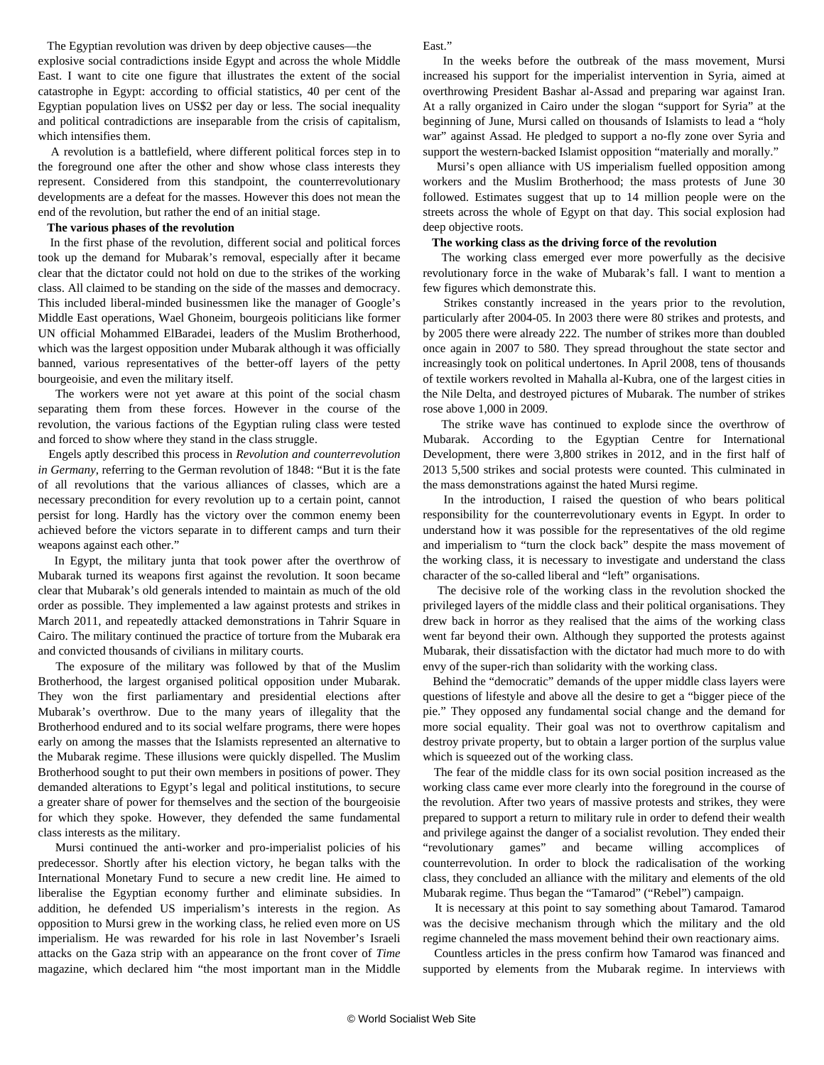The Egyptian revolution was driven by deep objective causes—the explosive social contradictions inside Egypt and across the whole Middle East. I want to cite one figure that illustrates the extent of the social catastrophe in Egypt: according to official statistics, 40 per cent of the Egyptian population lives on US\$2 per day or less. The social inequality and political contradictions are inseparable from the crisis of capitalism, which intensifies them.

 A revolution is a battlefield, where different political forces step in to the foreground one after the other and show whose class interests they represent. Considered from this standpoint, the counterrevolutionary developments are a defeat for the masses. However this does not mean the end of the revolution, but rather the end of an initial stage.

#### **The various phases of the revolution**

 In the first phase of the revolution, different social and political forces took up the demand for Mubarak's removal, especially after it became clear that the dictator could not hold on due to the strikes of the working class. All claimed to be standing on the side of the masses and democracy. This included liberal-minded businessmen like the manager of Google's Middle East operations, Wael Ghoneim, bourgeois politicians like former UN official Mohammed ElBaradei, leaders of the Muslim Brotherhood, which was the largest opposition under Mubarak although it was officially banned, various representatives of the better-off layers of the petty bourgeoisie, and even the military itself.

 The workers were not yet aware at this point of the social chasm separating them from these forces. However in the course of the revolution, the various factions of the Egyptian ruling class were tested and forced to show where they stand in the class struggle.

 Engels aptly described this process in *Revolution and counterrevolution in Germany*, referring to the German revolution of 1848: "But it is the fate of all revolutions that the various alliances of classes, which are a necessary precondition for every revolution up to a certain point, cannot persist for long. Hardly has the victory over the common enemy been achieved before the victors separate in to different camps and turn their weapons against each other."

 In Egypt, the military junta that took power after the overthrow of Mubarak turned its weapons first against the revolution. It soon became clear that Mubarak's old generals intended to maintain as much of the old order as possible. They implemented a law against protests and strikes in March 2011, and repeatedly attacked demonstrations in Tahrir Square in Cairo. The military continued the practice of torture from the Mubarak era and convicted thousands of civilians in military courts.

 The exposure of the military was followed by that of the Muslim Brotherhood, the largest organised political opposition under Mubarak. They won the first parliamentary and presidential elections after Mubarak's overthrow. Due to the many years of illegality that the Brotherhood endured and to its social welfare programs, there were hopes early on among the masses that the Islamists represented an alternative to the Mubarak regime. These illusions were quickly dispelled. The Muslim Brotherhood sought to put their own members in positions of power. They demanded alterations to Egypt's legal and political institutions, to secure a greater share of power for themselves and the section of the bourgeoisie for which they spoke. However, they defended the same fundamental class interests as the military.

 Mursi continued the anti-worker and pro-imperialist policies of his predecessor. Shortly after his election victory, he began talks with the International Monetary Fund to secure a new credit line. He aimed to liberalise the Egyptian economy further and eliminate subsidies. In addition, he defended US imperialism's interests in the region. As opposition to Mursi grew in the working class, he relied even more on US imperialism. He was rewarded for his role in last November's Israeli attacks on the Gaza strip with an appearance on the front cover of *Time* magazine, which declared him "the most important man in the Middle East<sup>"</sup>

 In the weeks before the outbreak of the mass movement, Mursi increased his support for the imperialist intervention in Syria, aimed at overthrowing President Bashar al-Assad and preparing war against Iran. At a rally organized in Cairo under the slogan "support for Syria" at the beginning of June, Mursi called on thousands of Islamists to lead a "holy war" against Assad. He pledged to support a no-fly zone over Syria and support the western-backed Islamist opposition "materially and morally."

 Mursi's open alliance with US imperialism fuelled opposition among workers and the Muslim Brotherhood; the mass protests of June 30 followed. Estimates suggest that up to 14 million people were on the streets across the whole of Egypt on that day. This social explosion had deep objective roots.

#### **The working class as the driving force of the revolution**

 The working class emerged ever more powerfully as the decisive revolutionary force in the wake of Mubarak's fall. I want to mention a few figures which demonstrate this.

 Strikes constantly increased in the years prior to the revolution, particularly after 2004-05. In 2003 there were 80 strikes and protests, and by 2005 there were already 222. The number of strikes more than doubled once again in 2007 to 580. They spread throughout the state sector and increasingly took on political undertones. In April 2008, tens of thousands of textile workers revolted in Mahalla al-Kubra, one of the largest cities in the Nile Delta, and destroyed pictures of Mubarak. The number of strikes rose above 1,000 in 2009.

 The strike wave has continued to explode since the overthrow of Mubarak. According to the Egyptian Centre for International Development, there were 3,800 strikes in 2012, and in the first half of 2013 5,500 strikes and social protests were counted. This culminated in the mass demonstrations against the hated Mursi regime.

 In the introduction, I raised the question of who bears political responsibility for the counterrevolutionary events in Egypt. In order to understand how it was possible for the representatives of the old regime and imperialism to "turn the clock back" despite the mass movement of the working class, it is necessary to investigate and understand the class character of the so-called liberal and "left" organisations.

 The decisive role of the working class in the revolution shocked the privileged layers of the middle class and their political organisations. They drew back in horror as they realised that the aims of the working class went far beyond their own. Although they supported the protests against Mubarak, their dissatisfaction with the dictator had much more to do with envy of the super-rich than solidarity with the working class.

 Behind the "democratic" demands of the upper middle class layers were questions of lifestyle and above all the desire to get a "bigger piece of the pie." They opposed any fundamental social change and the demand for more social equality. Their goal was not to overthrow capitalism and destroy private property, but to obtain a larger portion of the surplus value which is squeezed out of the working class.

 The fear of the middle class for its own social position increased as the working class came ever more clearly into the foreground in the course of the revolution. After two years of massive protests and strikes, they were prepared to support a return to military rule in order to defend their wealth and privilege against the danger of a socialist revolution. They ended their "revolutionary games" and became willing accomplices of counterrevolution. In order to block the radicalisation of the working class, they concluded an alliance with the military and elements of the old Mubarak regime. Thus began the "Tamarod" ("Rebel") campaign.

 It is necessary at this point to say something about Tamarod. Tamarod was the decisive mechanism through which the military and the old regime channeled the mass movement behind their own reactionary aims.

 Countless articles in the press confirm how Tamarod was financed and supported by elements from the Mubarak regime. In interviews with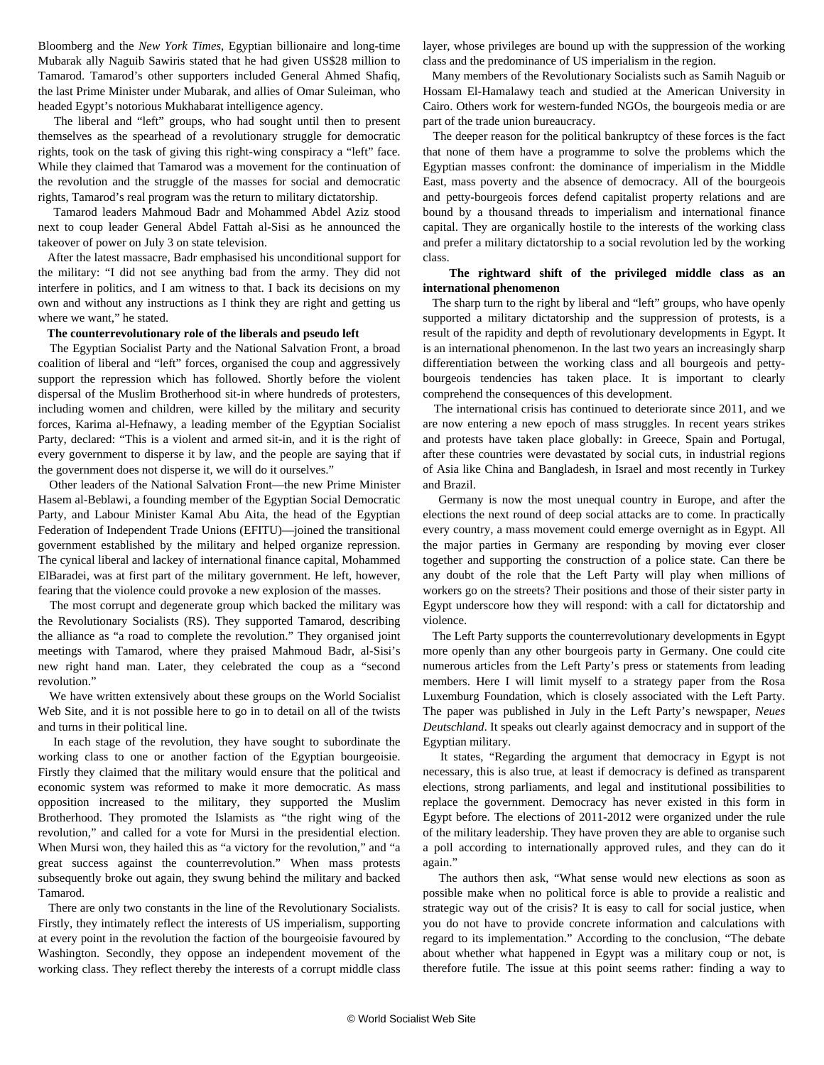Bloomberg and the *New York Times*, Egyptian billionaire and long-time Mubarak ally Naguib Sawiris stated that he had given US\$28 million to Tamarod. Tamarod's other supporters included General Ahmed Shafiq, the last Prime Minister under Mubarak, and allies of Omar Suleiman, who headed Egypt's notorious Mukhabarat intelligence agency.

 The liberal and "left" groups, who had sought until then to present themselves as the spearhead of a revolutionary struggle for democratic rights, took on the task of giving this right-wing conspiracy a "left" face. While they claimed that Tamarod was a movement for the continuation of the revolution and the struggle of the masses for social and democratic rights, Tamarod's real program was the return to military dictatorship.

 Tamarod leaders Mahmoud Badr and Mohammed Abdel Aziz stood next to coup leader General Abdel Fattah al-Sisi as he announced the takeover of power on July 3 on state television.

 After the latest massacre, Badr emphasised his unconditional support for the military: "I did not see anything bad from the army. They did not interfere in politics, and I am witness to that. I back its decisions on my own and without any instructions as I think they are right and getting us where we want," he stated.

#### **The counterrevolutionary role of the liberals and pseudo left**

 The Egyptian Socialist Party and the National Salvation Front, a broad coalition of liberal and "left" forces, organised the coup and aggressively support the repression which has followed. Shortly before the violent dispersal of the Muslim Brotherhood sit-in where hundreds of protesters, including women and children, were killed by the military and security forces, Karima al-Hefnawy, a leading member of the Egyptian Socialist Party, declared: "This is a violent and armed sit-in, and it is the right of every government to disperse it by law, and the people are saying that if the government does not disperse it, we will do it ourselves."

 Other leaders of the National Salvation Front—the new Prime Minister Hasem al-Beblawi, a founding member of the Egyptian Social Democratic Party, and Labour Minister Kamal Abu Aita, the head of the Egyptian Federation of Independent Trade Unions (EFITU)—joined the transitional government established by the military and helped organize repression. The cynical liberal and lackey of international finance capital, Mohammed ElBaradei, was at first part of the military government. He left, however, fearing that the violence could provoke a new explosion of the masses.

 The most corrupt and degenerate group which backed the military was the Revolutionary Socialists (RS). They supported Tamarod, describing the alliance as "a road to complete the revolution." They organised joint meetings with Tamarod, where they praised Mahmoud Badr, al-Sisi's new right hand man. Later, they celebrated the coup as a "second revolution."

 We have written extensively about these groups on the World Socialist Web Site, and it is not possible here to go in to detail on all of the twists and turns in their political line.

 In each stage of the revolution, they have sought to subordinate the working class to one or another faction of the Egyptian bourgeoisie. Firstly they claimed that the military would ensure that the political and economic system was reformed to make it more democratic. As mass opposition increased to the military, they supported the Muslim Brotherhood. They promoted the Islamists as "the right wing of the revolution," and called for a vote for Mursi in the presidential election. When Mursi won, they hailed this as "a victory for the revolution," and "a great success against the counterrevolution." When mass protests subsequently broke out again, they swung behind the military and backed Tamarod.

 There are only two constants in the line of the Revolutionary Socialists. Firstly, they intimately reflect the interests of US imperialism, supporting at every point in the revolution the faction of the bourgeoisie favoured by Washington. Secondly, they oppose an independent movement of the working class. They reflect thereby the interests of a corrupt middle class

layer, whose privileges are bound up with the suppression of the working class and the predominance of US imperialism in the region.

 Many members of the Revolutionary Socialists such as Samih Naguib or Hossam El-Hamalawy teach and studied at the American University in Cairo. Others work for western-funded NGOs, the bourgeois media or are part of the trade union bureaucracy.

 The deeper reason for the political bankruptcy of these forces is the fact that none of them have a programme to solve the problems which the Egyptian masses confront: the dominance of imperialism in the Middle East, mass poverty and the absence of democracy. All of the bourgeois and petty-bourgeois forces defend capitalist property relations and are bound by a thousand threads to imperialism and international finance capital. They are organically hostile to the interests of the working class and prefer a military dictatorship to a social revolution led by the working class.

#### **The rightward shift of the privileged middle class as an international phenomenon**

 The sharp turn to the right by liberal and "left" groups, who have openly supported a military dictatorship and the suppression of protests, is a result of the rapidity and depth of revolutionary developments in Egypt. It is an international phenomenon. In the last two years an increasingly sharp differentiation between the working class and all bourgeois and pettybourgeois tendencies has taken place. It is important to clearly comprehend the consequences of this development.

 The international crisis has continued to deteriorate since 2011, and we are now entering a new epoch of mass struggles. In recent years strikes and protests have taken place globally: in Greece, Spain and Portugal, after these countries were devastated by social cuts, in industrial regions of Asia like China and Bangladesh, in Israel and most recently in Turkey and Brazil.

 Germany is now the most unequal country in Europe, and after the elections the next round of deep social attacks are to come. In practically every country, a mass movement could emerge overnight as in Egypt. All the major parties in Germany are responding by moving ever closer together and supporting the construction of a police state. Can there be any doubt of the role that the Left Party will play when millions of workers go on the streets? Their positions and those of their sister party in Egypt underscore how they will respond: with a call for dictatorship and violence.

 The Left Party supports the counterrevolutionary developments in Egypt more openly than any other bourgeois party in Germany. One could cite numerous articles from the Left Party's press or statements from leading members. Here I will limit myself to a strategy paper from the Rosa Luxemburg Foundation, which is closely associated with the Left Party. The paper was published in July in the Left Party's newspaper, *Neues Deutschland*. It speaks out clearly against democracy and in support of the Egyptian military.

 It states, "Regarding the argument that democracy in Egypt is not necessary, this is also true, at least if democracy is defined as transparent elections, strong parliaments, and legal and institutional possibilities to replace the government. Democracy has never existed in this form in Egypt before. The elections of 2011-2012 were organized under the rule of the military leadership. They have proven they are able to organise such a poll according to internationally approved rules, and they can do it again."

 The authors then ask, "What sense would new elections as soon as possible make when no political force is able to provide a realistic and strategic way out of the crisis? It is easy to call for social justice, when you do not have to provide concrete information and calculations with regard to its implementation." According to the conclusion, "The debate about whether what happened in Egypt was a military coup or not, is therefore futile. The issue at this point seems rather: finding a way to